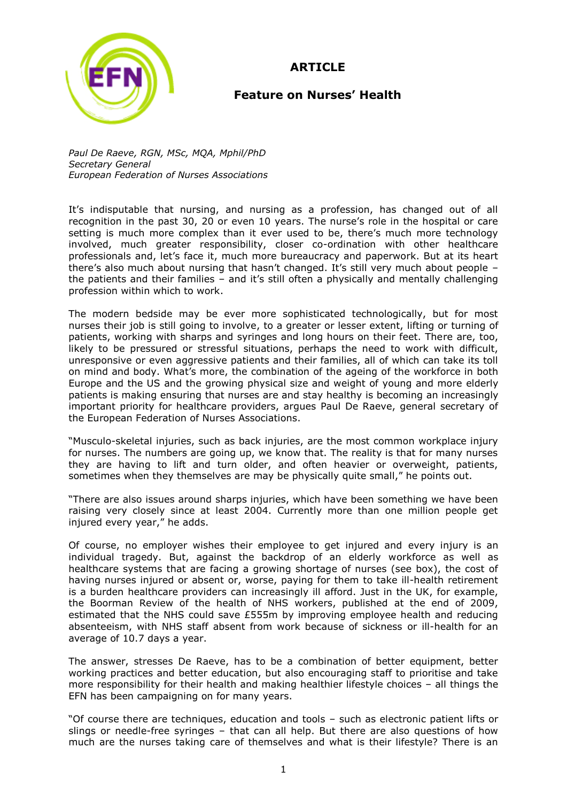**ARTICLE**



## **Feature on Nurses' Health**

*Paul De Raeve, RGN, MSc, MQA, Mphil/PhD Secretary General European Federation of Nurses Associations*

It's indisputable that nursing, and nursing as a profession, has changed out of all recognition in the past 30, 20 or even 10 years. The nurse's role in the hospital or care setting is much more complex than it ever used to be, there"s much more technology involved, much greater responsibility, closer co-ordination with other healthcare professionals and, let"s face it, much more bureaucracy and paperwork. But at its heart there's also much about nursing that hasn't changed. It's still very much about people the patients and their families – and it's still often a physically and mentally challenging profession within which to work.

The modern bedside may be ever more sophisticated technologically, but for most nurses their job is still going to involve, to a greater or lesser extent, lifting or turning of patients, working with sharps and syringes and long hours on their feet. There are, too, likely to be pressured or stressful situations, perhaps the need to work with difficult, unresponsive or even aggressive patients and their families, all of which can take its toll on mind and body. What"s more, the combination of the ageing of the workforce in both Europe and the US and the growing physical size and weight of young and more elderly patients is making ensuring that nurses are and stay healthy is becoming an increasingly important priority for healthcare providers, argues Paul De Raeve, general secretary of the European Federation of Nurses Associations.

"Musculo-skeletal injuries, such as back injuries, are the most common workplace injury for nurses. The numbers are going up, we know that. The reality is that for many nurses they are having to lift and turn older, and often heavier or overweight, patients, sometimes when they themselves are may be physically quite small," he points out.

"There are also issues around sharps injuries, which have been something we have been raising very closely since at least 2004. Currently more than one million people get injured every year," he adds.

Of course, no employer wishes their employee to get injured and every injury is an individual tragedy. But, against the backdrop of an elderly workforce as well as healthcare systems that are facing a growing shortage of nurses (see box), the cost of having nurses injured or absent or, worse, paying for them to take ill-health retirement is a burden healthcare providers can increasingly ill afford. Just in the UK, for example, the Boorman Review of the health of NHS workers, published at the end of 2009, estimated that the NHS could save £555m by improving employee health and reducing absenteeism, with NHS staff absent from work because of sickness or ill-health for an average of 10.7 days a year.

The answer, stresses De Raeve, has to be a combination of better equipment, better working practices and better education, but also encouraging staff to prioritise and take more responsibility for their health and making healthier lifestyle choices – all things the EFN has been campaigning on for many years.

"Of course there are techniques, education and tools – such as electronic patient lifts or slings or needle-free syringes – that can all help. But there are also questions of how much are the nurses taking care of themselves and what is their lifestyle? There is an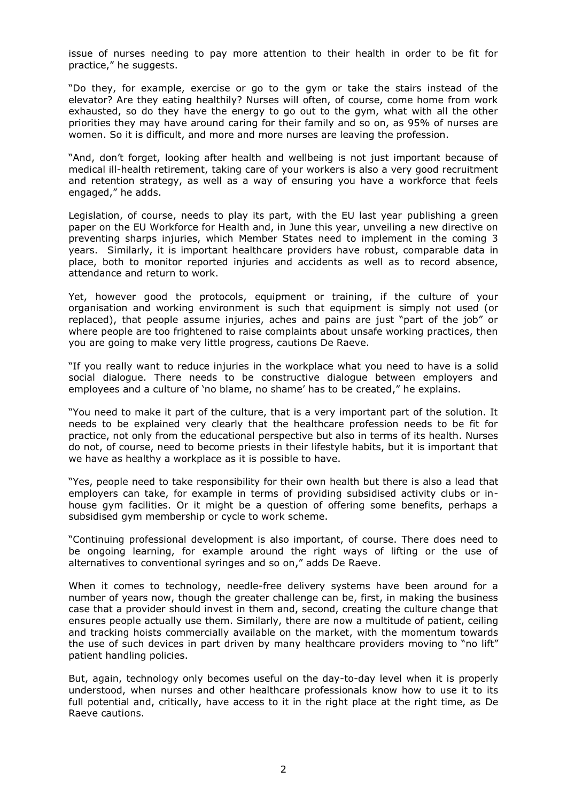issue of nurses needing to pay more attention to their health in order to be fit for practice," he suggests.

"Do they, for example, exercise or go to the gym or take the stairs instead of the elevator? Are they eating healthily? Nurses will often, of course, come home from work exhausted, so do they have the energy to go out to the gym, what with all the other priorities they may have around caring for their family and so on, as 95% of nurses are women. So it is difficult, and more and more nurses are leaving the profession.

"And, don"t forget, looking after health and wellbeing is not just important because of medical ill-health retirement, taking care of your workers is also a very good recruitment and retention strategy, as well as a way of ensuring you have a workforce that feels engaged," he adds.

Legislation, of course, needs to play its part, with the EU last year publishing a green paper on the EU Workforce for Health and, in June this year, unveiling a new directive on preventing sharps injuries, which Member States need to implement in the coming 3 years. Similarly, it is important healthcare providers have robust, comparable data in place, both to monitor reported injuries and accidents as well as to record absence, attendance and return to work.

Yet, however good the protocols, equipment or training, if the culture of your organisation and working environment is such that equipment is simply not used (or replaced), that people assume injuries, aches and pains are just "part of the job" or where people are too frightened to raise complaints about unsafe working practices, then you are going to make very little progress, cautions De Raeve.

"If you really want to reduce injuries in the workplace what you need to have is a solid social dialogue. There needs to be constructive dialogue between employers and employees and a culture of 'no blame, no shame' has to be created," he explains.

"You need to make it part of the culture, that is a very important part of the solution. It needs to be explained very clearly that the healthcare profession needs to be fit for practice, not only from the educational perspective but also in terms of its health. Nurses do not, of course, need to become priests in their lifestyle habits, but it is important that we have as healthy a workplace as it is possible to have.

"Yes, people need to take responsibility for their own health but there is also a lead that employers can take, for example in terms of providing subsidised activity clubs or inhouse gym facilities. Or it might be a question of offering some benefits, perhaps a subsidised gym membership or cycle to work scheme.

"Continuing professional development is also important, of course. There does need to be ongoing learning, for example around the right ways of lifting or the use of alternatives to conventional syringes and so on," adds De Raeve.

When it comes to technology, needle-free delivery systems have been around for a number of years now, though the greater challenge can be, first, in making the business case that a provider should invest in them and, second, creating the culture change that ensures people actually use them. Similarly, there are now a multitude of patient, ceiling and tracking hoists commercially available on the market, with the momentum towards the use of such devices in part driven by many healthcare providers moving to "no lift" patient handling policies.

But, again, technology only becomes useful on the day-to-day level when it is properly understood, when nurses and other healthcare professionals know how to use it to its full potential and, critically, have access to it in the right place at the right time, as De Raeve cautions.